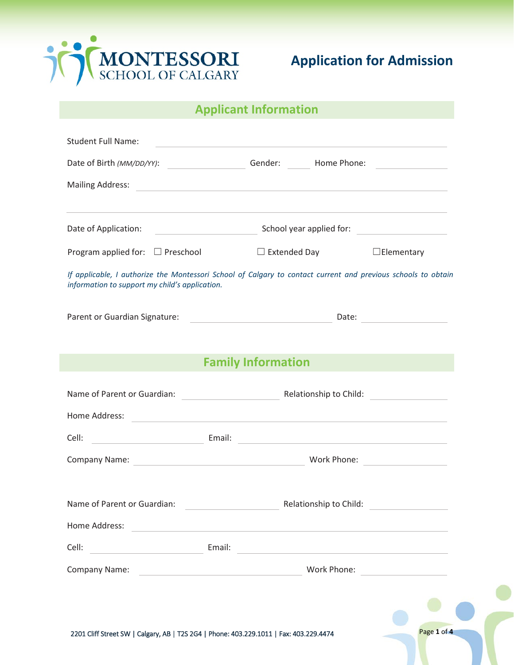

#### **Applicant Information**

| <b>Student Full Name:</b>                                                              | <u> 1980 - Johann Barn, amerikansk politiker (d. 1980)</u>                                                                                                                                                                          |
|----------------------------------------------------------------------------------------|-------------------------------------------------------------------------------------------------------------------------------------------------------------------------------------------------------------------------------------|
|                                                                                        | Gender: Home Phone:                                                                                                                                                                                                                 |
|                                                                                        | Mailing Address: <u>Communications of the Communications</u> of the Communications of the Communications of the Communications of the Communications of the Communications of the Communications of the Communications of the Commu |
|                                                                                        | <u> 1989 - Andrea Santa Andrea Andrea Andrea Andrea Andrea Andrea Andrea Andrea Andrea Andrea Andrea Andrea Andr</u>                                                                                                                |
| Date of Application:                                                                   | School year applied for:                                                                                                                                                                                                            |
| Program applied for: $\Box$ Preschool                                                  | $\Box$ Extended Day<br>$\Box$ Elementary                                                                                                                                                                                            |
| information to support my child's application.                                         | If applicable, I authorize the Montessori School of Calgary to contact current and previous schools to obtain                                                                                                                       |
| Parent or Guardian Signature:                                                          | Date: $\qquad \qquad$<br><u> 1980 - John Stein, markin fan it ferstjer fan de ferstjer fan it ferstjer fan it ferstjer fan it ferstjer f</u>                                                                                        |
|                                                                                        |                                                                                                                                                                                                                                     |
|                                                                                        | <b>Family Information</b>                                                                                                                                                                                                           |
|                                                                                        | Relationship to Child:                                                                                                                                                                                                              |
| Home Address:                                                                          | <u> Alexandria de la contrada de la contrada de la contrada de la contrada de la contrada de la contrada de la c</u>                                                                                                                |
| Cell:                                                                                  |                                                                                                                                                                                                                                     |
|                                                                                        |                                                                                                                                                                                                                                     |
|                                                                                        |                                                                                                                                                                                                                                     |
| Name of Parent or Guardian:                                                            | Relationship to Child:                                                                                                                                                                                                              |
| Home Address:                                                                          | <u> 1989 - Johann Stein, mars an deutscher Stein und der Stein und der Stein und der Stein und der Stein und der</u>                                                                                                                |
| <b>Email:</b> Email:<br>Cell:                                                          | <u> 1980 - Andrea Andrew Maria (h. 1980).</u>                                                                                                                                                                                       |
| Company Name:                                                                          | Work Phone: _____________________<br><u> 1990 - John Stein, Amerikaansk politiker (</u>                                                                                                                                             |
|                                                                                        |                                                                                                                                                                                                                                     |
|                                                                                        |                                                                                                                                                                                                                                     |
| 2201 Cliff Street SW   Calgary, AB   T2S 2G4   Phone: 403.229.1011   Fax: 403.229.4474 | Page 1 of 4                                                                                                                                                                                                                         |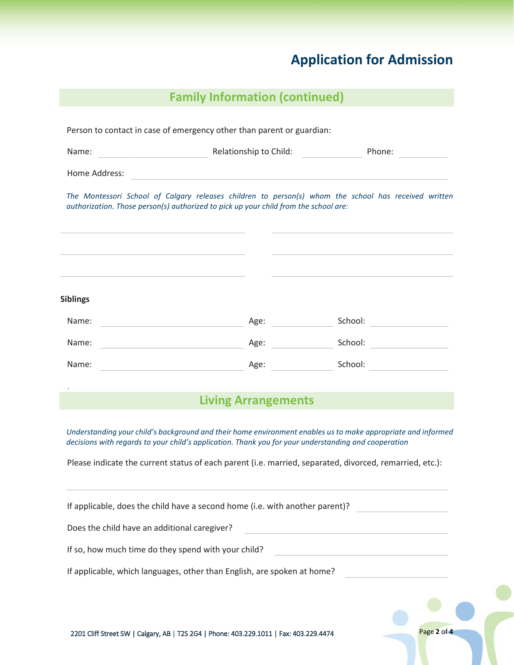| <b>Family Information (continued)</b> |  |
|---------------------------------------|--|
|                                       |  |

| Name:                                                       | <b>Example 2 All Sections According to Child: Child: Child: Child: Child: Child: Child: Child: Child: Child: Child: Child: Child: Child: Child: Child: Child: Child: Child: Child: Child</b>                                                                                                   | Phone:                                                                                                       |
|-------------------------------------------------------------|------------------------------------------------------------------------------------------------------------------------------------------------------------------------------------------------------------------------------------------------------------------------------------------------|--------------------------------------------------------------------------------------------------------------|
| Home Address:                                               |                                                                                                                                                                                                                                                                                                |                                                                                                              |
|                                                             | authorization. Those person(s) authorized to pick up your child from the school are:                                                                                                                                                                                                           | The Montessori School of Calgary releases children to person(s) whom the school has received written         |
| <b>Siblings</b>                                             |                                                                                                                                                                                                                                                                                                |                                                                                                              |
| Name:<br><u> 1989 - John Stone, Amerikaansk politiker (</u> | Age:                                                                                                                                                                                                                                                                                           |                                                                                                              |
| Name:                                                       | Age: and the same state of the state of the state of the state of the state of the state of the state of the state of the state of the state of the state of the state of the state of the state of the state of the state of<br><u> 1980 - Johann Barn, mars an t-Amerikaansk politiker (</u> | School: _____________________                                                                                |
| Name:                                                       | <u> 1990 - Johann Barbara, martin a</u>                                                                                                                                                                                                                                                        | Age: School: School:                                                                                         |
|                                                             | <b>Living Arrangements</b>                                                                                                                                                                                                                                                                     |                                                                                                              |
|                                                             | decisions with regards to your child's application. Thank you for your understanding and cooperation<br>Please indicate the current status of each parent (i.e. married, separated, divorced, remarried, etc.):                                                                                | Understanding your child's background and their home environment enables us to make appropriate and informed |
|                                                             | If applicable, does the child have a second home (i.e. with another parent)?                                                                                                                                                                                                                   |                                                                                                              |
| Does the child have an additional caregiver?                |                                                                                                                                                                                                                                                                                                | <u> 1980 - Johann Barn, amerikansk politiker (d. 1980)</u>                                                   |
|                                                             | If so, how much time do they spend with your child?                                                                                                                                                                                                                                            | the control of the control of the control of the control of the control of                                   |
|                                                             | If applicable, which languages, other than English, are spoken at home?                                                                                                                                                                                                                        |                                                                                                              |
|                                                             |                                                                                                                                                                                                                                                                                                |                                                                                                              |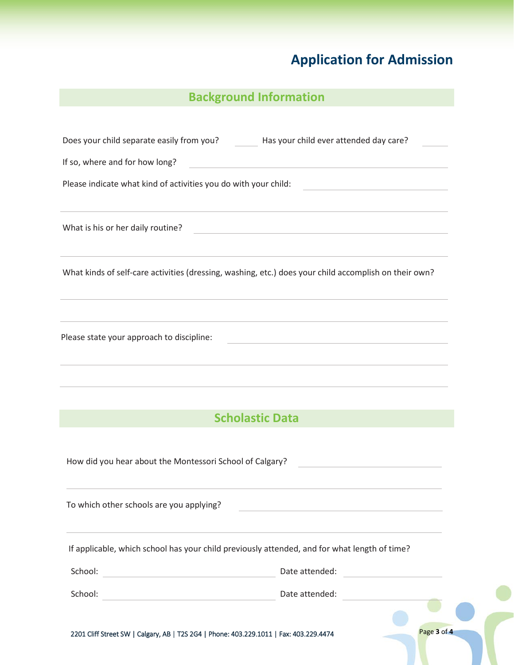## **Background Information**

|                                                                                                                                  | Does your child separate easily from you? Has your child ever attended day care?                                                                                                          |
|----------------------------------------------------------------------------------------------------------------------------------|-------------------------------------------------------------------------------------------------------------------------------------------------------------------------------------------|
| If so, where and for how long?                                                                                                   | <u> 1989 - Johann Stein, mars an deutscher Stein und der Stein und der Stein und der Stein und der Stein und der</u>                                                                      |
| Please indicate what kind of activities you do with your child:                                                                  | <u> 1980 - Johann Barn, amerikansk politiker (</u>                                                                                                                                        |
| What is his or her daily routine?                                                                                                | <u> 1989 - Johann Barbara, martxa alemaniar arg</u>                                                                                                                                       |
|                                                                                                                                  | ,我们也不能在这里的时候,我们也不能在这里的时候,我们也不能会在这里的时候,我们也不能会在这里的时候,我们也不能会在这里的时候,我们也不能会在这里的时候,我们也<br>What kinds of self-care activities (dressing, washing, etc.) does your child accomplish on their own? |
| Please state your approach to discipline:                                                                                        | <u> 1989 - Johann Stoff, amerikansk politiker (* 1908)</u><br><u> 1980 - Johann Barn, amerikansk politiker (d. 1980)</u>                                                                  |
|                                                                                                                                  | ,我们也不能在这里的时候,我们也不能在这里的时候,我们也不能会在这里的时候,我们也不能会在这里的时候,我们也不能会在这里的时候,我们也不能会在这里的时候,我们也不<br><b>Scholastic Data</b>                                                                               |
| How did you hear about the Montessori School of Calgary?                                                                         | the control of the control of the control of the control of the                                                                                                                           |
| To which other schools are you applying?                                                                                         |                                                                                                                                                                                           |
|                                                                                                                                  | If applicable, which school has your child previously attended, and for what length of time?                                                                                              |
| School:<br><u> 1980 - Johann Barn, amerikansk politiker (</u>                                                                    | Date attended:<br><u> 1980 - Andrea Albert III, martin a bh</u>                                                                                                                           |
| School:<br><u> 1989 - Johann Barn, mars et al. 1989 - Anna ann an t-Anna ann an t-Anna ann an t-Anna ann an t-Anna ann an t-</u> | Date attended:                                                                                                                                                                            |
| 2201 Cliff Street SW   Calgary, AB   T2S 2G4   Phone: 403.229.1011   Fax: 403.229.4474                                           | Page 3 of 4                                                                                                                                                                               |